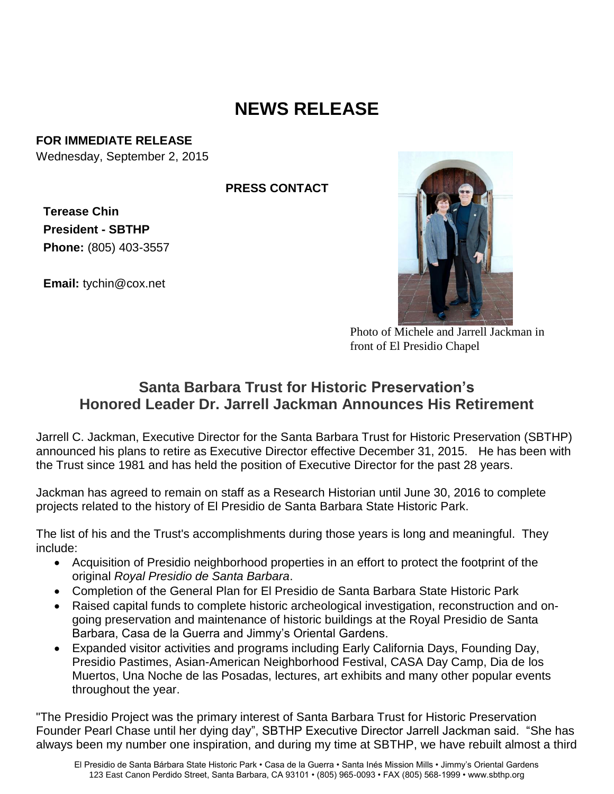## **NEWS RELEASE**

## **FOR IMMEDIATE RELEASE**

Wednesday, September 2, 2015

**PRESS CONTACT**

**Terease Chin President - SBTHP Phone:** (805) 403-3557

**Email:** tychin@cox.net



Photo of Michele and Jarrell Jackman in front of El Presidio Chapel

## **Santa Barbara Trust for Historic Preservation's Honored Leader Dr. Jarrell Jackman Announces His Retirement**

Jarrell C. Jackman, Executive Director for the Santa Barbara Trust for Historic Preservation (SBTHP) announced his plans to retire as Executive Director effective December 31, 2015. He has been with the Trust since 1981 and has held the position of Executive Director for the past 28 years.

Jackman has agreed to remain on staff as a Research Historian until June 30, 2016 to complete projects related to the history of El Presidio de Santa Barbara State Historic Park.

The list of his and the Trust's accomplishments during those years is long and meaningful. They include:

- Acquisition of Presidio neighborhood properties in an effort to protect the footprint of the original *Royal Presidio de Santa Barbara*.
- Completion of the General Plan for El Presidio de Santa Barbara State Historic Park
- Raised capital funds to complete historic archeological investigation, reconstruction and ongoing preservation and maintenance of historic buildings at the Royal Presidio de Santa Barbara, Casa de la Guerra and Jimmy's Oriental Gardens.
- Expanded visitor activities and programs including Early California Days, Founding Day, Presidio Pastimes, Asian-American Neighborhood Festival, CASA Day Camp, Dia de los Muertos, Una Noche de las Posadas, lectures, art exhibits and many other popular events throughout the year.

"The Presidio Project was the primary interest of Santa Barbara Trust for Historic Preservation Founder Pearl Chase until her dying day", SBTHP Executive Director Jarrell Jackman said. "She has always been my number one inspiration, and during my time at SBTHP, we have rebuilt almost a third